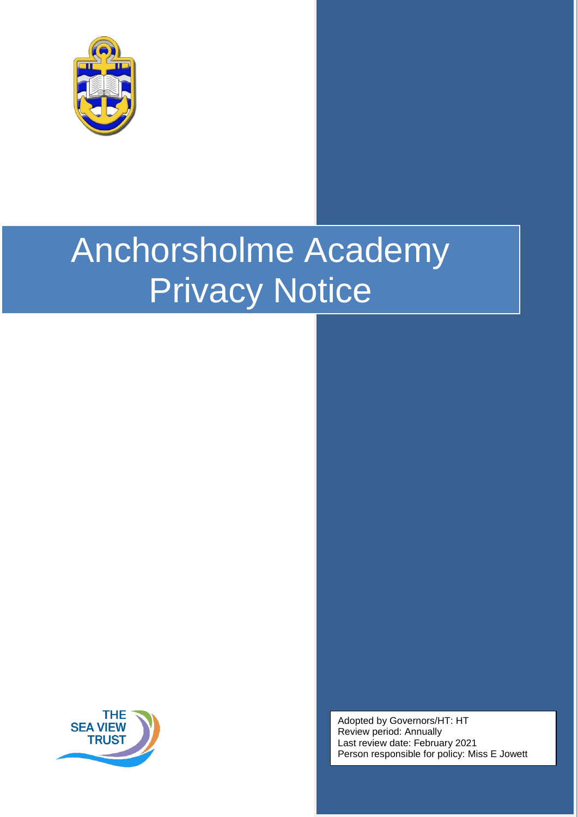

# Anchorsholme Academy Privacy Notice



Adopted by Governors/HT: HT Review period: Annually Last review date: February 2021 Person responsible for policy: Miss E Jowett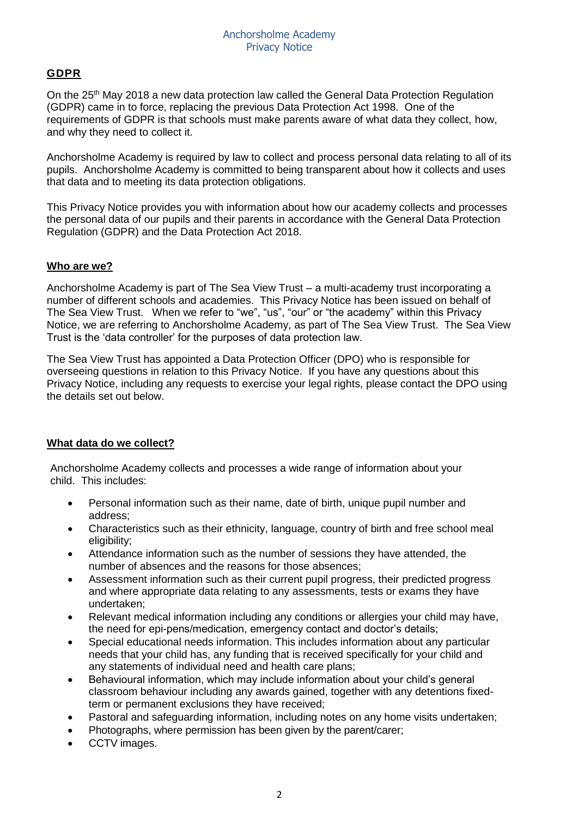## **GDPR**

On the 25<sup>th</sup> May 2018 a new data protection law called the General Data Protection Regulation (GDPR) came in to force, replacing the previous Data Protection Act 1998. One of the requirements of GDPR is that schools must make parents aware of what data they collect, how, and why they need to collect it.

Anchorsholme Academy is required by law to collect and process personal data relating to all of its pupils. Anchorsholme Academy is committed to being transparent about how it collects and uses that data and to meeting its data protection obligations.

This Privacy Notice provides you with information about how our academy collects and processes the personal data of our pupils and their parents in accordance with the General Data Protection Regulation (GDPR) and the Data Protection Act 2018.

## **Who are we?**

Anchorsholme Academy is part of The Sea View Trust – a multi-academy trust incorporating a number of different schools and academies. This Privacy Notice has been issued on behalf of The Sea View Trust. When we refer to "we", "us", "our" or "the academy" within this Privacy Notice, we are referring to Anchorsholme Academy, as part of The Sea View Trust. The Sea View Trust is the 'data controller' for the purposes of data protection law.

The Sea View Trust has appointed a Data Protection Officer (DPO) who is responsible for overseeing questions in relation to this Privacy Notice. If you have any questions about this Privacy Notice, including any requests to exercise your legal rights, please contact the DPO using the details set out below.

### **What data do we collect?**

Anchorsholme Academy collects and processes a wide range of information about your child. This includes:

- Personal information such as their name, date of birth, unique pupil number and address;
- Characteristics such as their ethnicity, language, country of birth and free school meal eligibility;
- Attendance information such as the number of sessions they have attended, the number of absences and the reasons for those absences;
- Assessment information such as their current pupil progress, their predicted progress and where appropriate data relating to any assessments, tests or exams they have undertaken;
- Relevant medical information including any conditions or allergies your child may have, the need for epi-pens/medication, emergency contact and doctor's details;
- Special educational needs information. This includes information about any particular needs that your child has, any funding that is received specifically for your child and any statements of individual need and health care plans;
- Behavioural information, which may include information about your child's general classroom behaviour including any awards gained, together with any detentions fixedterm or permanent exclusions they have received;
- Pastoral and safeguarding information, including notes on any home visits undertaken;
- Photographs, where permission has been given by the parent/carer;
- CCTV images.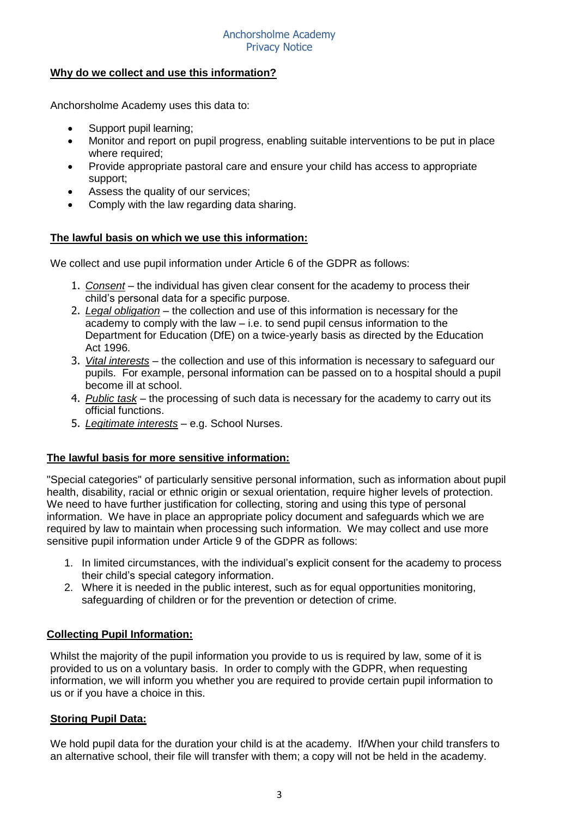#### Anchorsholme Academy Privacy Notice

## **Why do we collect and use this information?**

Anchorsholme Academy uses this data to:

- Support pupil learning;
- Monitor and report on pupil progress, enabling suitable interventions to be put in place where required;
- Provide appropriate pastoral care and ensure your child has access to appropriate support;
- Assess the quality of our services;
- Comply with the law regarding data sharing.

## **The lawful basis on which we use this information:**

We collect and use pupil information under Article 6 of the GDPR as follows:

- 1. *Consent* the individual has given clear consent for the academy to process their child's personal data for a specific purpose.
- 2. *Legal obligation* the collection and use of this information is necessary for the academy to comply with the law – i.e. to send pupil census information to the Department for Education (DfE) on a twice-yearly basis as directed by the Education Act 1996.
- 3. *Vital interests* the collection and use of this information is necessary to safeguard our pupils. For example, personal information can be passed on to a hospital should a pupil become ill at school.
- 4. *Public task* the processing of such data is necessary for the academy to carry out its official functions.
- 5. *Legitimate interests* e.g. School Nurses.

### **The lawful basis for more sensitive information:**

"Special categories" of particularly sensitive personal information, such as information about pupil health, disability, racial or ethnic origin or sexual orientation, require higher levels of protection. We need to have further justification for collecting, storing and using this type of personal information. We have in place an appropriate policy document and safeguards which we are required by law to maintain when processing such information. We may collect and use more sensitive pupil information under Article 9 of the GDPR as follows:

- 1. In limited circumstances, with the individual's explicit consent for the academy to process their child's special category information.
- 2. Where it is needed in the public interest, such as for equal opportunities monitoring, safeguarding of children or for the prevention or detection of crime.

### **Collecting Pupil Information:**

Whilst the majority of the pupil information you provide to us is required by law, some of it is provided to us on a voluntary basis. In order to comply with the GDPR, when requesting information, we will inform you whether you are required to provide certain pupil information to us or if you have a choice in this.

### **Storing Pupil Data:**

We hold pupil data for the duration your child is at the academy. If/When your child transfers to an alternative school, their file will transfer with them; a copy will not be held in the academy.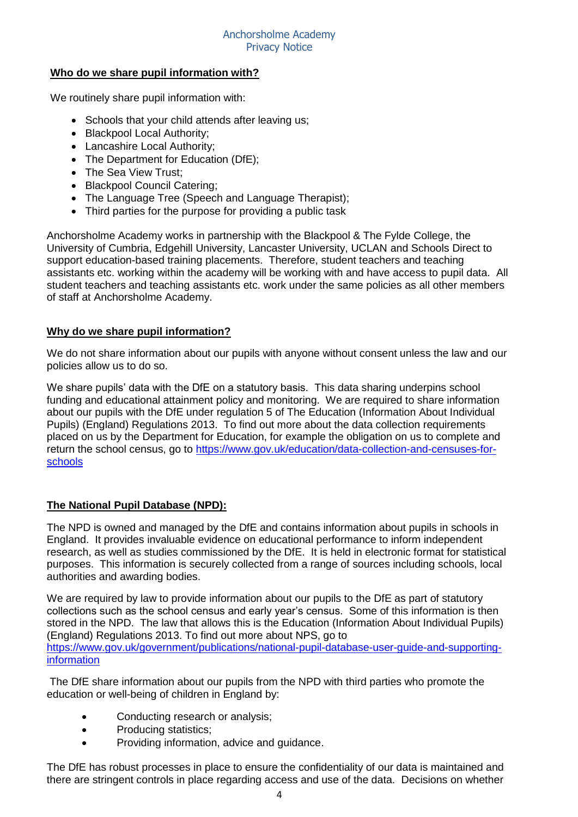## **Who do we share pupil information with?**

We routinely share pupil information with:

- Schools that your child attends after leaving us;
- Blackpool Local Authority:
- Lancashire Local Authority:
- The Department for Education (DfE):
- The Sea View Trust;
- Blackpool Council Catering;
- The Language Tree (Speech and Language Therapist);
- Third parties for the purpose for providing a public task

Anchorsholme Academy works in partnership with the Blackpool & The Fylde College, the University of Cumbria, Edgehill University, Lancaster University, UCLAN and Schools Direct to support education-based training placements. Therefore, student teachers and teaching assistants etc. working within the academy will be working with and have access to pupil data. All student teachers and teaching assistants etc. work under the same policies as all other members of staff at Anchorsholme Academy.

### **Why do we share pupil information?**

We do not share information about our pupils with anyone without consent unless the law and our policies allow us to do so.

We share pupils' data with the DfE on a statutory basis. This data sharing underpins school funding and educational attainment policy and monitoring. We are required to share information about our pupils with the DfE under regulation 5 of The Education (Information About Individual Pupils) (England) Regulations 2013. To find out more about the data collection requirements placed on us by the Department for Education, for example the obligation on us to complete and return the school census, go to [https://www.gov.uk/education/data-collection-and-censuses-for](https://www.gov.uk/education/data-collection-and-censuses-for-schools)[schools](https://www.gov.uk/education/data-collection-and-censuses-for-schools)

## **The National Pupil Database (NPD):**

The NPD is owned and managed by the DfE and contains information about pupils in schools in England. It provides invaluable evidence on educational performance to inform independent research, as well as studies commissioned by the DfE. It is held in electronic format for statistical purposes. This information is securely collected from a range of sources including schools, local authorities and awarding bodies.

We are required by law to provide information about our pupils to the DfE as part of statutory collections such as the school census and early year's census. Some of this information is then stored in the NPD. The law that allows this is the Education (Information About Individual Pupils) (England) Regulations 2013. To find out more about NPS, go to [https://www.gov.uk/government/publications/national-pupil-database-user-guide-and-supporting](https://www.gov.uk/government/publications/national-pupil-database-user-guide-and-supporting-information)[information](https://www.gov.uk/government/publications/national-pupil-database-user-guide-and-supporting-information)

The DfE share information about our pupils from the NPD with third parties who promote the education or well-being of children in England by:

- Conducting research or analysis:
- Producing statistics:
- Providing information, advice and guidance.

The DfE has robust processes in place to ensure the confidentiality of our data is maintained and there are stringent controls in place regarding access and use of the data. Decisions on whether